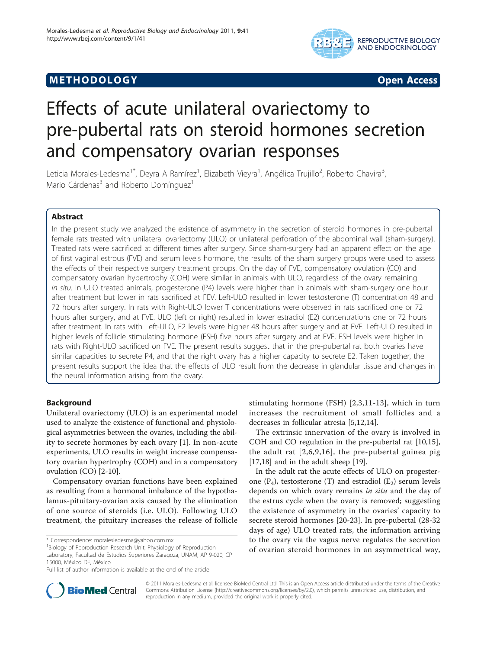# M E THODO LOGY Open Access



# Effects of acute unilateral ovariectomy to pre-pubertal rats on steroid hormones secretion and compensatory ovarian responses

Leticia Morales-Ledesma<sup>1\*</sup>, Deyra A Ramírez<sup>1</sup>, Elizabeth Vieyra<sup>1</sup>, Angélica Trujillo<sup>2</sup>, Roberto Chavira<sup>3</sup> , Mario Cárdenas<sup>3</sup> and Roberto Domínguez<sup>1</sup>

# Abstract

In the present study we analyzed the existence of asymmetry in the secretion of steroid hormones in pre-pubertal female rats treated with unilateral ovariectomy (ULO) or unilateral perforation of the abdominal wall (sham-surgery). Treated rats were sacrificed at different times after surgery. Since sham-surgery had an apparent effect on the age of first vaginal estrous (FVE) and serum levels hormone, the results of the sham surgery groups were used to assess the effects of their respective surgery treatment groups. On the day of FVE, compensatory ovulation (CO) and compensatory ovarian hypertrophy (COH) were similar in animals with ULO, regardless of the ovary remaining in situ. In ULO treated animals, progesterone (P4) levels were higher than in animals with sham-surgery one hour after treatment but lower in rats sacrificed at FEV. Left-ULO resulted in lower testosterone (T) concentration 48 and 72 hours after surgery. In rats with Right-ULO lower T concentrations were observed in rats sacrificed one or 72 hours after surgery, and at FVE. ULO (left or right) resulted in lower estradiol (E2) concentrations one or 72 hours after treatment. In rats with Left-ULO, E2 levels were higher 48 hours after surgery and at FVE. Left-ULO resulted in higher levels of follicle stimulating hormone (FSH) five hours after surgery and at FVE. FSH levels were higher in rats with Right-ULO sacrificed on FVE. The present results suggest that in the pre-pubertal rat both ovaries have similar capacities to secrete P4, and that the right ovary has a higher capacity to secrete E2. Taken together, the present results support the idea that the effects of ULO result from the decrease in glandular tissue and changes in the neural information arising from the ovary.

# Background

Unilateral ovariectomy (ULO) is an experimental model used to analyze the existence of functional and physiological asymmetries between the ovaries, including the ability to secrete hormones by each ovary [[1\]](#page-6-0). In non-acute experiments, ULO results in weight increase compensatory ovarian hypertrophy (COH) and in a compensatory ovulation (CO) [[2-10\]](#page-6-0).

Compensatory ovarian functions have been explained as resulting from a hormonal imbalance of the hypothalamus-pituitary-ovarian axis caused by the elimination of one source of steroids (i.e. ULO). Following ULO treatment, the pituitary increases the release of follicle

stimulating hormone (FSH) [[2,3](#page-6-0),[11](#page-6-0)-[13](#page-6-0)], which in turn increases the recruitment of small follicles and a decreases in follicular atresia [\[5,12,14\]](#page-6-0).

The extrinsic innervation of the ovary is involved in COH and CO regulation in the pre-pubertal rat [\[10,15](#page-6-0)], the adult rat [[2,6,9,16\]](#page-6-0), the pre-pubertal guinea pig [[17,18\]](#page-6-0) and in the adult sheep [[19](#page-6-0)].

In the adult rat the acute effects of ULO on progesterone  $(P_4)$ , testosterone (T) and estradiol  $(E_2)$  serum levels depends on which ovary remains in situ and the day of the estrus cycle when the ovary is removed; suggesting the existence of asymmetry in the ovaries' capacity to secrete steroid hormones [[20](#page-6-0)-[23\]](#page-6-0). In pre-pubertal (28-32 days of age) ULO treated rats, the information arriving to the ovary via the vagus nerve regulates the secretion of ovarian steroid hormones in an asymmetrical way,



© 2011 Morales-Ledesma et al; licensee BioMed Central Ltd. This is an Open Access article distributed under the terms of the Creative Commons Attribution License [\(http://creativecommons.org/licenses/by/2.0](http://creativecommons.org/licenses/by/2.0)), which permits unrestricted use, distribution, and reproduction in any medium, provided the original work is properly cited.

<sup>\*</sup> Correspondence: [moralesledesma@yahoo.com.mx](mailto:moralesledesma@yahoo.com.mx)

<sup>&</sup>lt;sup>1</sup> Biology of Reproduction Research Unit, Physiology of Reproduction Laboratory, Facultad de Estudios Superiores Zaragoza, UNAM, AP 9-020, CP 15000, México DF, México

Full list of author information is available at the end of the article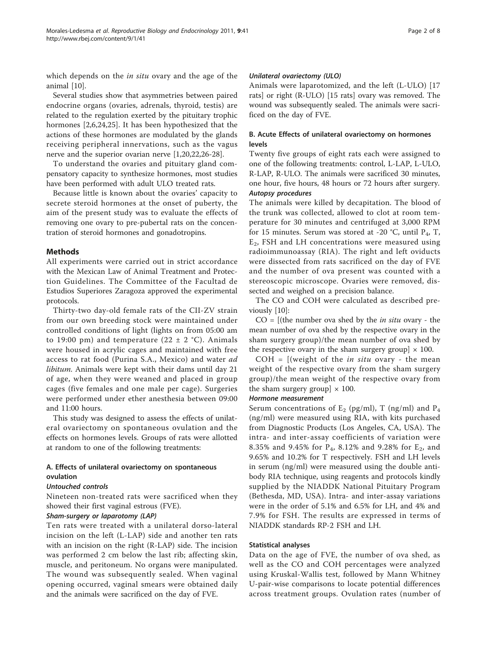which depends on the *in situ* ovary and the age of the animal [\[10](#page-6-0)].

Several studies show that asymmetries between paired endocrine organs (ovaries, adrenals, thyroid, testis) are related to the regulation exerted by the pituitary trophic hormones [[2,6](#page-6-0)[,24,25](#page-7-0)]. It has been hypothesized that the actions of these hormones are modulated by the glands receiving peripheral innervations, such as the vagus nerve and the superior ovarian nerve [\[1,20,22,](#page-6-0)[26-28](#page-7-0)].

To understand the ovaries and pituitary gland compensatory capacity to synthesize hormones, most studies have been performed with adult ULO treated rats.

Because little is known about the ovaries' capacity to secrete steroid hormones at the onset of puberty, the aim of the present study was to evaluate the effects of removing one ovary to pre-pubertal rats on the concentration of steroid hormones and gonadotropins.

## Methods

All experiments were carried out in strict accordance with the Mexican Law of Animal Treatment and Protection Guidelines. The Committee of the Facultad de Estudios Superiores Zaragoza approved the experimental protocols.

Thirty-two day-old female rats of the CII-ZV strain from our own breeding stock were maintained under controlled conditions of light (lights on from 05:00 am to 19:00 pm) and temperature (22  $\pm$  2 °C). Animals were housed in acrylic cages and maintained with free access to rat food (Purina S.A., Mexico) and water ad libitum. Animals were kept with their dams until day 21 of age, when they were weaned and placed in group cages (five females and one male per cage). Surgeries were performed under ether anesthesia between 09:00 and 11:00 hours.

This study was designed to assess the effects of unilateral ovariectomy on spontaneous ovulation and the effects on hormones levels. Groups of rats were allotted at random to one of the following treatments:

# A. Effects of unilateral ovariectomy on spontaneous ovulation

#### Untouched controls

Nineteen non-treated rats were sacrificed when they showed their first vaginal estrous (FVE).

#### Sham-surgery or laparotomy (LAP)

Ten rats were treated with a unilateral dorso-lateral incision on the left (L-LAP) side and another ten rats with an incision on the right (R-LAP) side. The incision was performed 2 cm below the last rib; affecting skin, muscle, and peritoneum. No organs were manipulated. The wound was subsequently sealed. When vaginal opening occurred, vaginal smears were obtained daily and the animals were sacrificed on the day of FVE.

#### Unilateral ovariectomy (ULO)

Animals were laparotomized, and the left (L-ULO) [17 rats] or right (R-ULO) [15 rats] ovary was removed. The wound was subsequently sealed. The animals were sacrificed on the day of FVE.

# B. Acute Effects of unilateral ovariectomy on hormones levels

Twenty five groups of eight rats each were assigned to one of the following treatments: control, L-LAP, L-ULO, R-LAP, R-ULO. The animals were sacrificed 30 minutes, one hour, five hours, 48 hours or 72 hours after surgery. Autopsy procedures

The animals were killed by decapitation. The blood of the trunk was collected, allowed to clot at room temperature for 30 minutes and centrifuged at 3,000 RPM for 15 minutes. Serum was stored at -20 °C, until  $P_4$ , T,  $E<sub>2</sub>$ , FSH and LH concentrations were measured using radioimmunoassay (RIA). The right and left oviducts were dissected from rats sacrificed on the day of FVE and the number of ova present was counted with a stereoscopic microscope. Ovaries were removed, dissected and weighed on a precision balance.

The CO and COH were calculated as described previously [\[10\]](#page-6-0):

 $CO =$  [(the number ova shed by the *in situ* ovary - the mean number of ova shed by the respective ovary in the sham surgery group)/the mean number of ova shed by the respective ovary in the sham surgery group]  $\times$  100.

 $COH = [(weight of the *in situ* ovary - the mean)]$ weight of the respective ovary from the sham surgery group)/the mean weight of the respective ovary from the sham surgery group  $\times$  100.

#### Hormone measurement

Serum concentrations of  $E_2$  (pg/ml), T (ng/ml) and  $P_4$ (ng/ml) were measured using RIA, with kits purchased from Diagnostic Products (Los Angeles, CA, USA). The intra- and inter-assay coefficients of variation were 8.35% and 9.45% for  $P_4$ , 8.12% and 9.28% for  $E_2$ , and 9.65% and 10.2% for T respectively. FSH and LH levels in serum (ng/ml) were measured using the double antibody RIA technique, using reagents and protocols kindly supplied by the NIADDK National Pituitary Program (Bethesda, MD, USA). Intra- and inter-assay variations were in the order of 5.1% and 6.5% for LH, and 4% and 7.9% for FSH. The results are expressed in terms of NIADDK standards RP-2 FSH and LH.

#### Statistical analyses

Data on the age of FVE, the number of ova shed, as well as the CO and COH percentages were analyzed using Kruskal-Wallis test, followed by Mann Whitney U-pair-wise comparisons to locate potential differences across treatment groups. Ovulation rates (number of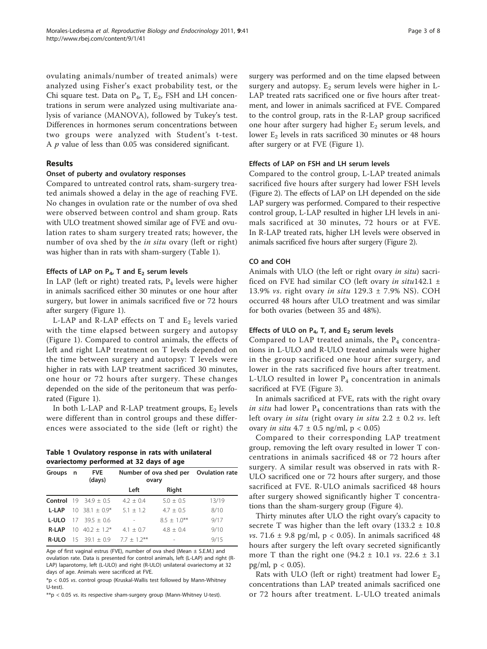ovulating animals/number of treated animals) were analyzed using Fisher's exact probability test, or the Chi square test. Data on  $P_4$ , T,  $E_2$ , FSH and LH concentrations in serum were analyzed using multivariate analysis of variance (MANOVA), followed by Tukey's test. Differences in hormones serum concentrations between two groups were analyzed with Student's t-test. A  $p$  value of less than 0.05 was considered significant.

# Results

#### Onset of puberty and ovulatory responses

Compared to untreated control rats, sham-surgery treated animals showed a delay in the age of reaching FVE. No changes in ovulation rate or the number of ova shed were observed between control and sham group. Rats with ULO treatment showed similar age of FVE and ovulation rates to sham surgery treated rats; however, the number of ova shed by the in situ ovary (left or right) was higher than in rats with sham-surgery (Table 1).

# Effects of LAP on  $P_4$ , T and  $E_2$  serum levels

In LAP (left or right) treated rats,  $P_4$  levels were higher in animals sacrificed either 30 minutes or one hour after surgery, but lower in animals sacrificed five or 72 hours after surgery (Figure [1](#page-3-0)).

L-LAP and R-LAP effects on T and  $E_2$  levels varied with the time elapsed between surgery and autopsy (Figure [1](#page-3-0)). Compared to control animals, the effects of left and right LAP treatment on T levels depended on the time between surgery and autopsy: T levels were higher in rats with LAP treatment sacrificed 30 minutes, one hour or 72 hours after surgery. These changes depended on the side of the peritoneum that was perforated (Figure [1\)](#page-3-0).

In both L-LAP and R-LAP treatment groups,  $E_2$  levels were different than in control groups and these differences were associated to the side (left or right) the

Table 1 Ovulatory response in rats with unilateral ovariectomy performed at 32 days of age

| Groups n     |                 | <b>FVE</b><br>(days)             | Number of ova shed per Ovulation rate<br>ovary |                          |       |
|--------------|-----------------|----------------------------------|------------------------------------------------|--------------------------|-------|
|              |                 |                                  | Left                                           | Right                    |       |
|              |                 | <b>Control</b> 19 34.9 $\pm$ 0.5 | $4.2 \pm 0.4$                                  | $5.0 + 0.5$              | 13/19 |
| <b>L-LAP</b> |                 | $10 \quad 38.1 + 0.9^*$          | $5.1 + 1.2$                                    | $4.7 + 0.5$              | 8/10  |
| <b>L-ULO</b> |                 | $17 \quad 39.5 \pm 0.6$          |                                                | $8.5 + 1.0***$           | 9/17  |
| <b>R-LAP</b> | 10 <sup>1</sup> | $40.2 + 1.2*$                    | $4.1 + 0.7$                                    | $4.8 + 0.4$              | 9/10  |
| R-ULO        |                 | $15 \quad 39.1 + 0.9$            | $7.7 + 1.2***$                                 | $\overline{\phantom{m}}$ | 9/15  |

Age of first vaginal estrus (FVE), number of ova shed (Mean  $\pm$  S.E.M.) and ovulation rate. Data is presented for control animals, left (L-LAP) and right (R-LAP) laparotomy, left (L-ULO) and right (R-ULO) unilateral ovariectomy at 32 days of age. Animals were sacrificed at FVE.

\*p < 0.05 vs. control group (Kruskal-Wallis test followed by Mann-Whitney U-test).

\*\*p < 0.05 vs. its respective sham-surgery group (Mann-Whitney U-test).

surgery was performed and on the time elapsed between surgery and autopsy.  $E_2$  serum levels were higher in L-LAP treated rats sacrificed one or five hours after treatment, and lower in animals sacrificed at FVE. Compared to the control group, rats in the R-LAP group sacrificed one hour after surgery had higher  $E_2$  serum levels, and lower  $E_2$  levels in rats sacrificed 30 minutes or 48 hours after surgery or at FVE (Figure [1\)](#page-3-0).

# Effects of LAP on FSH and LH serum levels

Compared to the control group, L-LAP treated animals sacrificed five hours after surgery had lower FSH levels (Figure [2](#page-3-0)). The effects of LAP on LH depended on the side LAP surgery was performed. Compared to their respective control group, L-LAP resulted in higher LH levels in animals sacrificed at 30 minutes, 72 hours or at FVE. In R-LAP treated rats, higher LH levels were observed in animals sacrificed five hours after surgery (Figure [2](#page-3-0)).

#### CO and COH

Animals with ULO (the left or right ovary in situ) sacrificed on FVE had similar CO (left ovary in situ142.1  $\pm$ 13.9% vs. right ovary in situ  $129.3 \pm 7.9\%$  NS). COH occurred 48 hours after ULO treatment and was similar for both ovaries (between 35 and 48%).

#### Effects of ULO on  $P_4$ , T, and  $E_2$  serum levels

Compared to LAP treated animals, the  $P_4$  concentrations in L-ULO and R-ULO treated animals were higher in the group sacrificed one hour after surgery, and lower in the rats sacrificed five hours after treatment. L-ULO resulted in lower  $P_4$  concentration in animals sacrificed at FVE (Figure [3](#page-3-0)).

In animals sacrificed at FVE, rats with the right ovary in situ had lower  $P_4$  concentrations than rats with the left ovary in situ (right ovary in situ  $2.2 \pm 0.2$  vs. left ovary *in situ*  $4.7 \pm 0.5$  ng/ml,  $p < 0.05$ )

Compared to their corresponding LAP treatment group, removing the left ovary resulted in lower T concentrations in animals sacrificed 48 or 72 hours after surgery. A similar result was observed in rats with R-ULO sacrificed one or 72 hours after surgery, and those sacrificed at FVE. R-ULO animals sacrificed 48 hours after surgery showed significantly higher T concentrations than the sham-surgery group (Figure [4\)](#page-4-0).

Thirty minutes after ULO the right ovary's capacity to secrete T was higher than the left ovary  $(133.2 \pm 10.8)$ vs. 71.6  $\pm$  9.8 pg/ml, p < 0.05). In animals sacrificed 48 hours after surgery the left ovary secreted significantly more T than the right one  $(94.2 \pm 10.1 \text{ vs. } 22.6 \pm 3.1 \text{ s})$ pg/ml,  $p < 0.05$ ).

Rats with ULO (left or right) treatment had lower  $E_2$ concentrations than LAP treated animals sacrificed one or 72 hours after treatment. L-ULO treated animals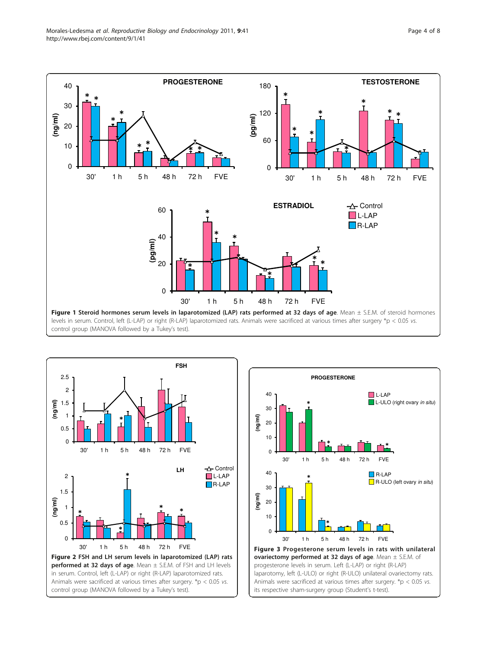<span id="page-3-0"></span>Morales-Ledesma et al. Reproductive Biology and Endocrinology 2011, 9:41 http://www.rbej.com/content/9/1/41





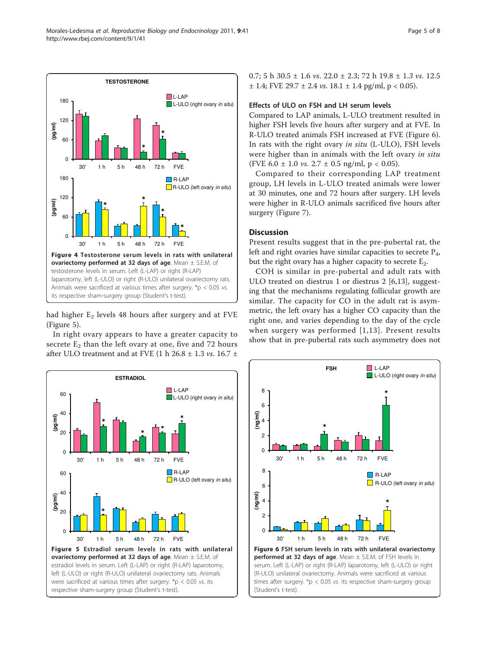<span id="page-4-0"></span>Morales-Ledesma et al. Reproductive Biology and Endocrinology 2011, 9:41 http://www.rbej.com/content/9/1/41



had higher  $E_2$  levels 48 hours after surgery and at FVE (Figure 5).

In right ovary appears to have a greater capacity to secrete  $E_2$  than the left ovary at one, five and 72 hours after ULO treatment and at FVE (1 h 26.8  $\pm$  1.3 *vs.* 16.7  $\pm$ 



0.7; 5 h 30.5  $\pm$  1.6 vs. 22.0  $\pm$  2.3; 72 h 19.8  $\pm$  1.3 vs. 12.5  $\pm$  1.4; FVE 29.7  $\pm$  2.4 *vs.* 18.1  $\pm$  1.4 pg/ml, p < 0.05).

#### Effects of ULO on FSH and LH serum levels

Compared to LAP animals, L-ULO treatment resulted in higher FSH levels five hours after surgery and at FVE. In R-ULO treated animals FSH increased at FVE (Figure 6). In rats with the right ovary in situ (L-ULO), FSH levels were higher than in animals with the left ovary in situ (FVE 6.0  $\pm$  1.0 *vs.* 2.7  $\pm$  0.5 ng/ml, p < 0.05).

Compared to their corresponding LAP treatment group, LH levels in L-ULO treated animals were lower at 30 minutes, one and 72 hours after surgery. LH levels were higher in R-ULO animals sacrificed five hours after surgery (Figure [7\)](#page-5-0).

# **Discussion**

Present results suggest that in the pre-pubertal rat, the left and right ovaries have similar capacities to secrete  $P_4$ , but the right ovary has a higher capacity to secrete  $E_2$ .

COH is similar in pre-pubertal and adult rats with ULO treated on diestrus 1 or diestrus 2 [[6,13\]](#page-6-0), suggesting that the mechanisms regulating follicular growth are similar. The capacity for CO in the adult rat is asymmetric, the left ovary has a higher CO capacity than the right one, and varies depending to the day of the cycle when surgery was performed [[1,13\]](#page-6-0). Present results show that in pre-pubertal rats such asymmetry does not

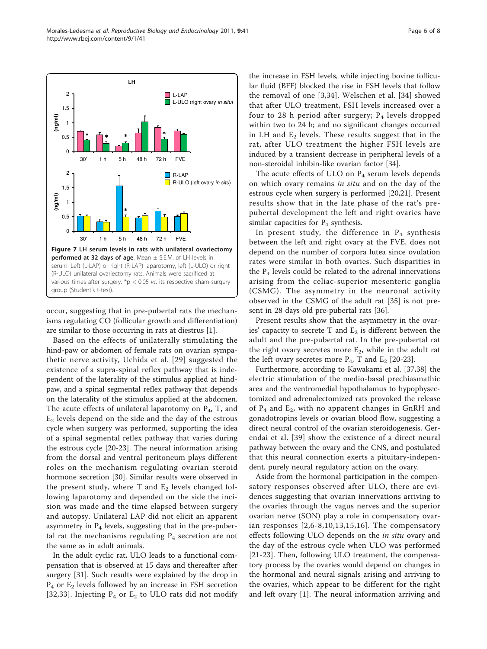<span id="page-5-0"></span>

occur, suggesting that in pre-pubertal rats the mechanisms regulating CO (follicular growth and differentiation) are similar to those occurring in rats at diestrus [\[1](#page-6-0)].

Based on the effects of unilaterally stimulating the hind-paw or abdomen of female rats on ovarian sympathetic nerve activity, Uchida et al. [[29](#page-7-0)] suggested the existence of a supra-spinal reflex pathway that is independent of the laterality of the stimulus applied at hindpaw, and a spinal segmental reflex pathway that depends on the laterality of the stimulus applied at the abdomen. The acute effects of unilateral laparotomy on  $P_4$ , T, and  $E_2$  levels depend on the side and the day of the estrous cycle when surgery was performed, supporting the idea of a spinal segmental reflex pathway that varies during the estrous cycle [[20-23\]](#page-6-0). The neural information arising from the dorsal and ventral peritoneum plays different roles on the mechanism regulating ovarian steroid hormone secretion [\[30](#page-7-0)]. Similar results were observed in the present study, where  $T$  and  $E_2$  levels changed following laparotomy and depended on the side the incision was made and the time elapsed between surgery and autopsy. Unilateral LAP did not elicit an apparent asymmetry in  $P_4$  levels, suggesting that in the pre-pubertal rat the mechanisms regulating  $P_4$  secretion are not the same as in adult animals.

In the adult cyclic rat, ULO leads to a functional compensation that is observed at 15 days and thereafter after surgery [\[31](#page-7-0)]. Such results were explained by the drop in P4 or E2 levels followed by an increase in FSH secretion [[32](#page-7-0),[33\]](#page-7-0). Injecting  $P_4$  or  $E_2$  to ULO rats did not modify

the increase in FSH levels, while injecting bovine follicular fluid (BFF) blocked the rise in FSH levels that follow the removal of one [[3](#page-6-0)[,34\]](#page-7-0). Welschen et al. [[34\]](#page-7-0) showed that after ULO treatment, FSH levels increased over a four to 28 h period after surgery;  $P_4$  levels dropped within two to 24 h; and no significant changes occurred in LH and  $E_2$  levels. These results suggest that in the rat, after ULO treatment the higher FSH levels are induced by a transient decrease in peripheral levels of a non-steroidal inhibin-like ovarian factor [\[34\]](#page-7-0).

The acute effects of ULO on  $P_4$  serum levels depends on which ovary remains in situ and on the day of the estrous cycle when surgery is performed [[20,21\]](#page-6-0). Present results show that in the late phase of the rat's prepubertal development the left and right ovaries have similar capacities for  $P_4$  synthesis.

In present study, the difference in  $P_4$  synthesis between the left and right ovary at the FVE, does not depend on the number of corpora lutea since ovulation rates were similar in both ovaries. Such disparities in the  $P_4$  levels could be related to the adrenal innervations arising from the celiac-superior mesenteric ganglia (CSMG). The asymmetry in the neuronal activity observed in the CSMG of the adult rat [[35](#page-7-0)] is not present in 28 days old pre-pubertal rats [[36\]](#page-7-0).

Present results show that the asymmetry in the ovaries' capacity to secrete T and  $E_2$  is different between the adult and the pre-pubertal rat. In the pre-pubertal rat the right ovary secretes more  $E_2$ , while in the adult rat the left ovary secretes more  $P_4$ , T and  $E_2$  [[20-23\]](#page-6-0).

Furthermore, according to Kawakami et al. [\[37,38](#page-7-0)] the electric stimulation of the medio-basal prechiasmathic area and the ventromedial hypothalamus to hypophysectomized and adrenalectomized rats provoked the release of  $P_4$  and  $E_2$ , with no apparent changes in GnRH and gonadotropins levels or ovarian blood flow, suggesting a direct neural control of the ovarian steroidogenesis. Gerendai et al. [[39](#page-7-0)] show the existence of a direct neural pathway between the ovary and the CNS, and postulated that this neural connection exerts a pituitary-independent, purely neural regulatory action on the ovary.

Aside from the hormonal participation in the compensatory responses observed after ULO, there are evidences suggesting that ovarian innervations arriving to the ovaries through the vagus nerves and the superior ovarian nerve (SON) play a role in compensatory ovarian responses [[2](#page-6-0),[6](#page-6-0)-[8](#page-6-0),[10](#page-6-0),[13](#page-6-0),[15](#page-6-0),[16\]](#page-6-0). The compensatory effects following ULO depends on the *in situ* ovary and the day of the estrous cycle when ULO was performed [[21-23](#page-6-0)]. Then, following ULO treatment, the compensatory process by the ovaries would depend on changes in the hormonal and neural signals arising and arriving to the ovaries, which appear to be different for the right and left ovary [[1](#page-6-0)]. The neural information arriving and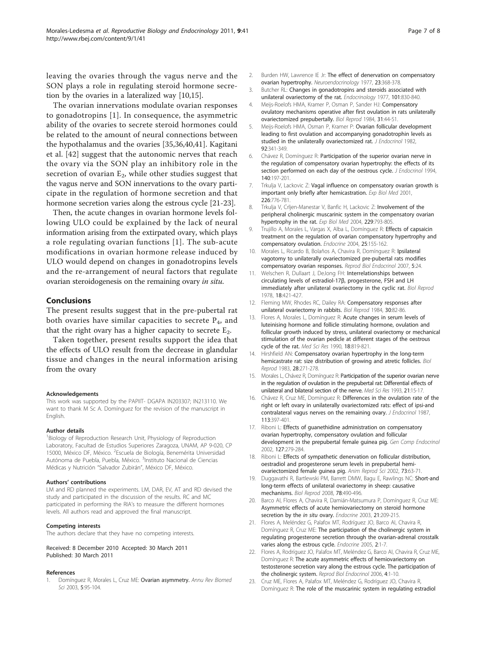<span id="page-6-0"></span>leaving the ovaries through the vagus nerve and the SON plays a role in regulating steroid hormone secretion by the ovaries in a lateralized way [10,15].

The ovarian innervations modulate ovarian responses to gonadotropins [1]. In consequence, the asymmetric ability of the ovaries to secrete steroid hormones could be related to the amount of neural connections between the hypothalamus and the ovaries [[35,36,40,41](#page-7-0)]. Kagitani et al. [\[42\]](#page-7-0) suggest that the autonomic nerves that reach the ovary via the SON play an inhibitory role in the secretion of ovarian  $E_2$ , while other studies suggest that the vagus nerve and SON innervations to the ovary participate in the regulation of hormone secretion and that hormone secretion varies along the estrous cycle [21-23].

Then, the acute changes in ovarian hormone levels following ULO could be explained by the lack of neural information arising from the extirpated ovary, which plays a role regulating ovarian functions [1]. The sub-acute modifications in ovarian hormone release induced by ULO would depend on changes in gonadotropins levels and the re-arrangement of neural factors that regulate ovarian steroidogenesis on the remaining ovary in situ.

#### Conclusions

The present results suggest that in the pre-pubertal rat both ovaries have similar capacities to secrete  $P_4$ , and that the right ovary has a higher capacity to secrete  $E_2$ .

Taken together, present results support the idea that the effects of ULO result from the decrease in glandular tissue and changes in the neural information arising from the ovary

#### Acknowledgements

This work was supported by the PAPIIT- DGAPA IN203307; IN213110. We want to thank M Sc A. Domínguez for the revision of the manuscript in English.

#### Author details

1 Biology of Reproduction Research Unit, Physiology of Reproduction Laboratory, Facultad de Estudios Superiores Zaragoza, UNAM, AP 9-020, CP 15000, México DF, México. <sup>2</sup>Escuela de Biología, Benemérita Universidad Autónoma de Puebla, Puebla, México. <sup>3</sup>Instituto Nacional de Ciencias Médicas y Nutrición "Salvador Zubirán", México DF, México.

#### Authors' contributions

LM and RD planned the experiments. LM, DAR, EV, AT and RD devised the study and participated in the discussion of the results. RC and MC participated in performing the RIA's to measure the different hormones levels. All authors read and approved the final manuscript.

#### Competing interests

The authors declare that they have no competing interests.

#### Received: 8 December 2010 Accepted: 30 March 2011 Published: 30 March 2011

#### References

1. Domínguez R, Morales L, Cruz ME: Ovarian asymmetry. Annu Rev Biomed Sci 2003, 5:95-104.

- 2. Burden HW, Lawrence IE Jr: [The effect of denervation on compensatory](http://www.ncbi.nlm.nih.gov/pubmed/563533?dopt=Abstract) [ovarian hypertrophy.](http://www.ncbi.nlm.nih.gov/pubmed/563533?dopt=Abstract) Neuroendocrinology 1977, 23:368-378.
- 3. Butcher RL: [Changes in gonadotropins and steroids associated with](http://www.ncbi.nlm.nih.gov/pubmed/560961?dopt=Abstract) [unilateral ovariectomy of the rat.](http://www.ncbi.nlm.nih.gov/pubmed/560961?dopt=Abstract) Endocrinology 1977, 101:830-840.
- 4. Meijs-Roelofs HMA, Kramer P, Osman P, Sander HJ: [Compensatory](http://www.ncbi.nlm.nih.gov/pubmed/6466758?dopt=Abstract) [ovulatory mechanisms operative after first ovulation in rats unilaterally](http://www.ncbi.nlm.nih.gov/pubmed/6466758?dopt=Abstract) [ovariectomized prepubertally.](http://www.ncbi.nlm.nih.gov/pubmed/6466758?dopt=Abstract) Biol Reprod 1984, 31:44-51.
- 5. Meijs-Roelofs HMA, Osman P, Kramer P: [Ovarian follicular development](http://www.ncbi.nlm.nih.gov/pubmed/6802917?dopt=Abstract) [leading to first ovulation and accompanying gonadotrophin levels as](http://www.ncbi.nlm.nih.gov/pubmed/6802917?dopt=Abstract) [studied in the unilaterally ovariectomized rat.](http://www.ncbi.nlm.nih.gov/pubmed/6802917?dopt=Abstract) J Endocrinol 1982, 92:341-349.
- 6. Chávez R, Domínguez R: [Participation of the superior ovarian nerve in](http://www.ncbi.nlm.nih.gov/pubmed/8169555?dopt=Abstract) [the regulation of compensatory ovarian hypertrophy: the effects of its](http://www.ncbi.nlm.nih.gov/pubmed/8169555?dopt=Abstract) [section performed on each day of the oestrous cycle.](http://www.ncbi.nlm.nih.gov/pubmed/8169555?dopt=Abstract) J Endocrinol 1994, 140:197-201.
- 7. Trkulja V, Lackovic Z: Vagal influence on compensatory ovarian growth is important only briefly after hemicastration. Exp Biol Med 2001, 226:776-781.
- 8. Trkulja V, Crljen-Manestar V, Banfic H, Lackovic Z: Involvement of the peripheral cholinergic muscarinic system in the compensatory ovarian hypertrophy in the rat. Exp Biol Med 2004, 229:793-805.
- 9. Trujillo A, Morales L, Vargas X, Alba L, Domínguez R: [Effects of capsaicin](http://www.ncbi.nlm.nih.gov/pubmed/15711030?dopt=Abstract) [treatment on the regulation of ovarian compensatory hypertrophy and](http://www.ncbi.nlm.nih.gov/pubmed/15711030?dopt=Abstract) [compensatory ovulation.](http://www.ncbi.nlm.nih.gov/pubmed/15711030?dopt=Abstract) Endocrine 2004, 25:155-162.
- 10. Morales L, Ricardo B, Bolaños A, Chavira R, Domínguez R: [Ipsilateral](http://www.ncbi.nlm.nih.gov/pubmed/17567910?dopt=Abstract) [vagotomy to unilaterally ovariectomized pre-pubertal rats modifies](http://www.ncbi.nlm.nih.gov/pubmed/17567910?dopt=Abstract) [compensatory ovarian responses.](http://www.ncbi.nlm.nih.gov/pubmed/17567910?dopt=Abstract) Reprod Biol Endocrinol 2007, 5:24.
- 11. Welschen R, Dullaart J, DeJong FH: [Interrelationships between](http://www.ncbi.nlm.nih.gov/pubmed/566579?dopt=Abstract) [circulating levels of estradiol-17](http://www.ncbi.nlm.nih.gov/pubmed/566579?dopt=Abstract)β, progesterone, FSH and LH [immediately after unilateral ovariectomy in the cyclic rat.](http://www.ncbi.nlm.nih.gov/pubmed/566579?dopt=Abstract) Biol Reprod 1978, 18:421-427.
- 12. Fleming MW, Rhodes RC, Dailey RA: [Compensatory responses after](http://www.ncbi.nlm.nih.gov/pubmed/6421337?dopt=Abstract) [unilateral ovariectomy in rabbits.](http://www.ncbi.nlm.nih.gov/pubmed/6421337?dopt=Abstract) Biol Reprod 1984, 30:82-86.
- 13. Flores A, Morales L, Domínguez R: Acute changes in serum levels of luteinising hormone and follicle stimulating hormone, ovulation and follicular growth induced by stress, unilateral ovariectomy or mechanical stimulation of the ovarian pedicle at different stages of the oestrous cycle of the rat. Med Sci Res 1990, 18:819-821.
- 14. Hirshfield AN: [Compensatory ovarian hypertrophy in the long-term](http://www.ncbi.nlm.nih.gov/pubmed/6682340?dopt=Abstract) [hemicastrate rat: size distribution of growing and atretic follicles.](http://www.ncbi.nlm.nih.gov/pubmed/6682340?dopt=Abstract) Biol Reprod 1983, 28:271-278.
- 15. Morales L, Chávez R, Domínguez R: Participation of the superior ovarian nerve in the regulation of ovulation in the prepubertal rat: Differential effects of unilateral and bilateral section of the nerve. Med Sci Res 1993, 21:15-17.
- 16. Chávez R, Cruz ME, Domínguez R: [Differences in the ovulation rate of the](http://www.ncbi.nlm.nih.gov/pubmed/3625097?dopt=Abstract) [right or left ovary in unilaterally ovariectomized rats: effect of ipsi-and](http://www.ncbi.nlm.nih.gov/pubmed/3625097?dopt=Abstract) [contralateral vagus nerves on the remaining ovary.](http://www.ncbi.nlm.nih.gov/pubmed/3625097?dopt=Abstract) J Endocrinol 1987, 113:397-401.
- 17. Riboni L: [Effects of guanethidine administration on compensatory](http://www.ncbi.nlm.nih.gov/pubmed/12225770?dopt=Abstract) [ovarian hypertrophy, compensatory ovulation and follicular](http://www.ncbi.nlm.nih.gov/pubmed/12225770?dopt=Abstract) [development in the prepubertal female guinea pig.](http://www.ncbi.nlm.nih.gov/pubmed/12225770?dopt=Abstract) Gen Comp Endocrinol 2002, 127:279-284.
- 18. Riboni L: [Effects of sympathetic denervation on follicular distribution,](http://www.ncbi.nlm.nih.gov/pubmed/12220819?dopt=Abstract) [oestradiol and progesterone serum levels in prepubertal hemi](http://www.ncbi.nlm.nih.gov/pubmed/12220819?dopt=Abstract)[ovariectomized female guinea pig.](http://www.ncbi.nlm.nih.gov/pubmed/12220819?dopt=Abstract) Anim Reprod Sci 2002, 73:63-71.
- 19. Duggavathi R, Bartlewski PM, Barrett DMW, Bagu E, Rawlings NC: [Short-and](http://www.ncbi.nlm.nih.gov/pubmed/18046013?dopt=Abstract) [long-term effects of unilateral ovariectomy in sheep: causative](http://www.ncbi.nlm.nih.gov/pubmed/18046013?dopt=Abstract) [mechanisms.](http://www.ncbi.nlm.nih.gov/pubmed/18046013?dopt=Abstract) Biol Reprod 2008, 78:490-496.
- 20. Barco AI, Flores A, Chavira R, Damián-Matsumura P, Domínguez R, Cruz ME: [Asymmetric effects of acute hemiovariectomy on steroid hormone](http://www.ncbi.nlm.nih.gov/pubmed/14515003?dopt=Abstract) [secretion by the](http://www.ncbi.nlm.nih.gov/pubmed/14515003?dopt=Abstract) in situ ovary. Endocrine 2003, 21:209-215.
- 21. Flores A, Meléndez G, Palafox MT, Rodríguez JO, Barco AI, Chavira R, Domínguez R, Cruz ME: The participation of the cholinergic system in regulating progesterone secretion through the ovarian-adrenal crosstalk varies along the estrous cycle. Endocrine 2005, 2:1-7.
- 22. Flores A, Rodríguez JO, Palafox MT, Meléndez G, Barco AI, Chavira R, Cruz ME, Domínguez R: [The acute asymmetric effects of hemiovariectomy on](http://www.ncbi.nlm.nih.gov/pubmed/16436209?dopt=Abstract) [testosterone secretion vary along the estrous cycle. The participation of](http://www.ncbi.nlm.nih.gov/pubmed/16436209?dopt=Abstract) [the cholinergic system.](http://www.ncbi.nlm.nih.gov/pubmed/16436209?dopt=Abstract) Reprod Biol Endocrinol 2006, 4:1-10.
- 23. Cruz ME, Flores A, Palafox MT, Meléndez G, Rodríguez JO, Chavira R, Domínguez R: [The role of the muscarinic system in regulating estradiol](http://www.ncbi.nlm.nih.gov/pubmed/16436209?dopt=Abstract)